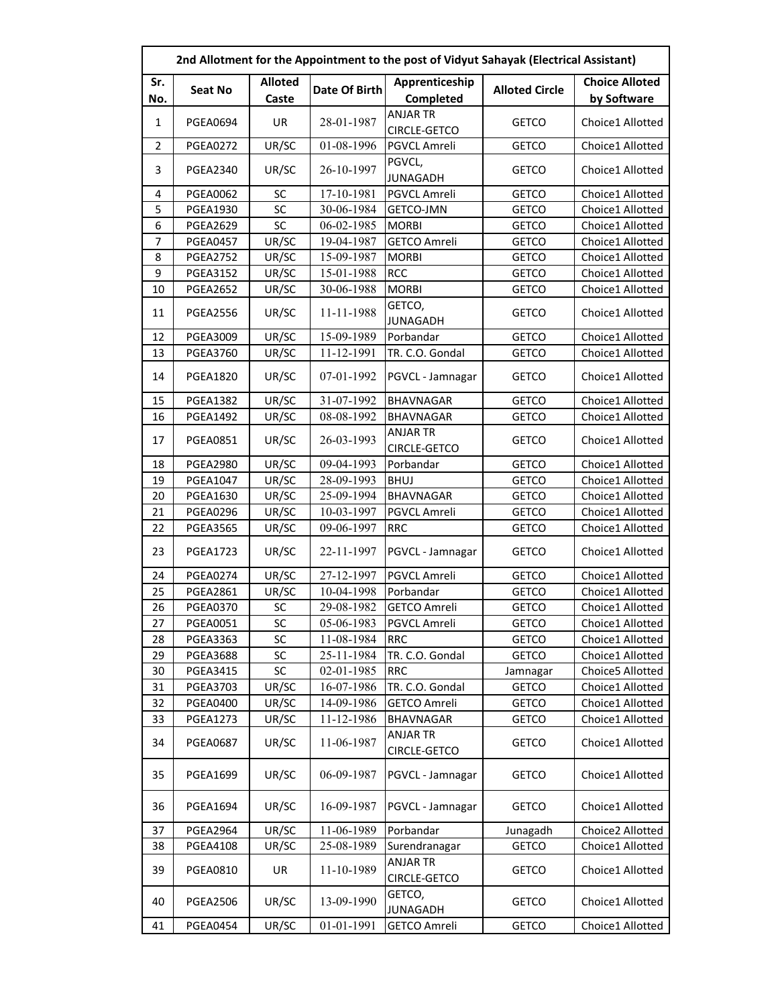|     | 2nd Allotment for the Appointment to the post of Vidyut Sahayak (Electrical Assistant) |                |               |                                 |                       |                       |  |  |
|-----|----------------------------------------------------------------------------------------|----------------|---------------|---------------------------------|-----------------------|-----------------------|--|--|
| Sr. |                                                                                        | <b>Alloted</b> | Date Of Birth | Apprenticeship                  | <b>Alloted Circle</b> | <b>Choice Alloted</b> |  |  |
| No. | Seat No                                                                                | Caste          |               | Completed                       |                       | by Software           |  |  |
| 1   | <b>PGEA0694</b>                                                                        | UR             | 28-01-1987    | <b>ANJAR TR</b><br>CIRCLE-GETCO | <b>GETCO</b>          | Choice1 Allotted      |  |  |
| 2   | <b>PGEA0272</b>                                                                        | UR/SC          | 01-08-1996    | PGVCL Amreli                    | <b>GETCO</b>          | Choice1 Allotted      |  |  |
| 3   | <b>PGEA2340</b>                                                                        | UR/SC          | 26-10-1997    | PGVCL,<br><b>JUNAGADH</b>       | <b>GETCO</b>          | Choice1 Allotted      |  |  |
| 4   | <b>PGEA0062</b>                                                                        | SC             | 17-10-1981    | PGVCL Amreli                    | <b>GETCO</b>          | Choice1 Allotted      |  |  |
| 5   | <b>PGEA1930</b>                                                                        | SC             | 30-06-1984    | <b>GETCO-JMN</b>                | <b>GETCO</b>          | Choice1 Allotted      |  |  |
| 6   | <b>PGEA2629</b>                                                                        | SC             | 06-02-1985    | <b>MORBI</b>                    | <b>GETCO</b>          | Choice1 Allotted      |  |  |
| 7   | <b>PGEA0457</b>                                                                        | UR/SC          | 19-04-1987    | <b>GETCO Amreli</b>             | <b>GETCO</b>          | Choice1 Allotted      |  |  |
| 8   | <b>PGEA2752</b>                                                                        | UR/SC          | 15-09-1987    | <b>MORBI</b>                    | <b>GETCO</b>          | Choice1 Allotted      |  |  |
| 9   | <b>PGEA3152</b>                                                                        | UR/SC          | 15-01-1988    | <b>RCC</b>                      | <b>GETCO</b>          | Choice1 Allotted      |  |  |
| 10  | <b>PGEA2652</b>                                                                        | UR/SC          | 30-06-1988    | <b>MORBI</b>                    | <b>GETCO</b>          | Choice1 Allotted      |  |  |
| 11  | <b>PGEA2556</b>                                                                        | UR/SC          | 11-11-1988    | GETCO,<br><b>JUNAGADH</b>       | <b>GETCO</b>          | Choice1 Allotted      |  |  |
| 12  | <b>PGEA3009</b>                                                                        | UR/SC          | 15-09-1989    | Porbandar                       | <b>GETCO</b>          | Choice1 Allotted      |  |  |
| 13  | <b>PGEA3760</b>                                                                        | UR/SC          | 11-12-1991    | TR. C.O. Gondal                 | <b>GETCO</b>          | Choice1 Allotted      |  |  |
| 14  | <b>PGEA1820</b>                                                                        | UR/SC          | 07-01-1992    | PGVCL - Jamnagar                | <b>GETCO</b>          | Choice1 Allotted      |  |  |
| 15  | <b>PGEA1382</b>                                                                        | UR/SC          | 31-07-1992    | <b>BHAVNAGAR</b>                | <b>GETCO</b>          | Choice1 Allotted      |  |  |
| 16  | <b>PGEA1492</b>                                                                        | UR/SC          | 08-08-1992    | <b>BHAVNAGAR</b>                | <b>GETCO</b>          | Choice1 Allotted      |  |  |
| 17  | <b>PGEA0851</b>                                                                        | UR/SC          | 26-03-1993    | <b>ANJAR TR</b><br>CIRCLE-GETCO | <b>GETCO</b>          | Choice1 Allotted      |  |  |
| 18  | <b>PGEA2980</b>                                                                        | UR/SC          | 09-04-1993    | Porbandar                       | <b>GETCO</b>          | Choice1 Allotted      |  |  |
| 19  | <b>PGEA1047</b>                                                                        | UR/SC          | 28-09-1993    | <b>BHUJ</b>                     | <b>GETCO</b>          | Choice1 Allotted      |  |  |
| 20  | <b>PGEA1630</b>                                                                        | UR/SC          | 25-09-1994    | <b>BHAVNAGAR</b>                | <b>GETCO</b>          | Choice1 Allotted      |  |  |
| 21  | <b>PGEA0296</b>                                                                        | UR/SC          | 10-03-1997    | PGVCL Amreli                    | <b>GETCO</b>          | Choice1 Allotted      |  |  |
| 22  | <b>PGEA3565</b>                                                                        | UR/SC          | 09-06-1997    | <b>RRC</b>                      | <b>GETCO</b>          | Choice1 Allotted      |  |  |
| 23  | <b>PGEA1723</b>                                                                        | UR/SC          | 22-11-1997    | PGVCL - Jamnagar                | <b>GETCO</b>          | Choice1 Allotted      |  |  |
| 24  | <b>PGEA0274</b>                                                                        | UR/SC          | 27-12-1997    | <b>PGVCL Amreli</b>             | <b>GETCO</b>          | Choice1 Allotted      |  |  |
| 25  | <b>PGEA2861</b>                                                                        | UR/SC          | 10-04-1998    | Porbandar                       | <b>GETCO</b>          | Choice1 Allotted      |  |  |
| 26  | <b>PGEA0370</b>                                                                        | SC             | 29-08-1982    | <b>GETCO Amreli</b>             | <b>GETCO</b>          | Choice1 Allotted      |  |  |
| 27  | PGEA0051                                                                               | SC             | 05-06-1983    | PGVCL Amreli                    | <b>GETCO</b>          | Choice1 Allotted      |  |  |
| 28  | <b>PGEA3363</b>                                                                        | SC             | 11-08-1984    | <b>RRC</b>                      | <b>GETCO</b>          | Choice1 Allotted      |  |  |
| 29  | <b>PGEA3688</b>                                                                        | SC             | 25-11-1984    | TR. C.O. Gondal                 | <b>GETCO</b>          | Choice1 Allotted      |  |  |
| 30  | <b>PGEA3415</b>                                                                        | SC             | 02-01-1985    | <b>RRC</b>                      | Jamnagar              | Choice5 Allotted      |  |  |
| 31  | <b>PGEA3703</b>                                                                        | UR/SC          | 16-07-1986    | TR. C.O. Gondal                 | <b>GETCO</b>          | Choice1 Allotted      |  |  |
| 32  | <b>PGEA0400</b>                                                                        | UR/SC          | 14-09-1986    | <b>GETCO Amreli</b>             | <b>GETCO</b>          | Choice1 Allotted      |  |  |
| 33  | <b>PGEA1273</b>                                                                        | UR/SC          | 11-12-1986    | BHAVNAGAR                       | <b>GETCO</b>          | Choice1 Allotted      |  |  |
| 34  | <b>PGEA0687</b>                                                                        | UR/SC          | 11-06-1987    | ANJAR TR<br>CIRCLE-GETCO        | <b>GETCO</b>          | Choice1 Allotted      |  |  |
| 35  | <b>PGEA1699</b>                                                                        | UR/SC          | 06-09-1987    | PGVCL - Jamnagar                | <b>GETCO</b>          | Choice1 Allotted      |  |  |
| 36  | <b>PGEA1694</b>                                                                        | UR/SC          | 16-09-1987    | PGVCL - Jamnagar                | <b>GETCO</b>          | Choice1 Allotted      |  |  |
| 37  | <b>PGEA2964</b>                                                                        | UR/SC          | 11-06-1989    | Porbandar                       | Junagadh              | Choice2 Allotted      |  |  |
| 38  | <b>PGEA4108</b>                                                                        | UR/SC          | 25-08-1989    | Surendranagar                   | <b>GETCO</b>          | Choice1 Allotted      |  |  |
| 39  | <b>PGEA0810</b>                                                                        | UR             | 11-10-1989    | ANJAR TR<br>CIRCLE-GETCO        | <b>GETCO</b>          | Choice1 Allotted      |  |  |
| 40  | <b>PGEA2506</b>                                                                        | UR/SC          | 13-09-1990    | GETCO,<br><b>JUNAGADH</b>       | <b>GETCO</b>          | Choice1 Allotted      |  |  |
| 41  | PGEA0454                                                                               | UR/SC          | 01-01-1991    | <b>GETCO Amreli</b>             | <b>GETCO</b>          | Choice1 Allotted      |  |  |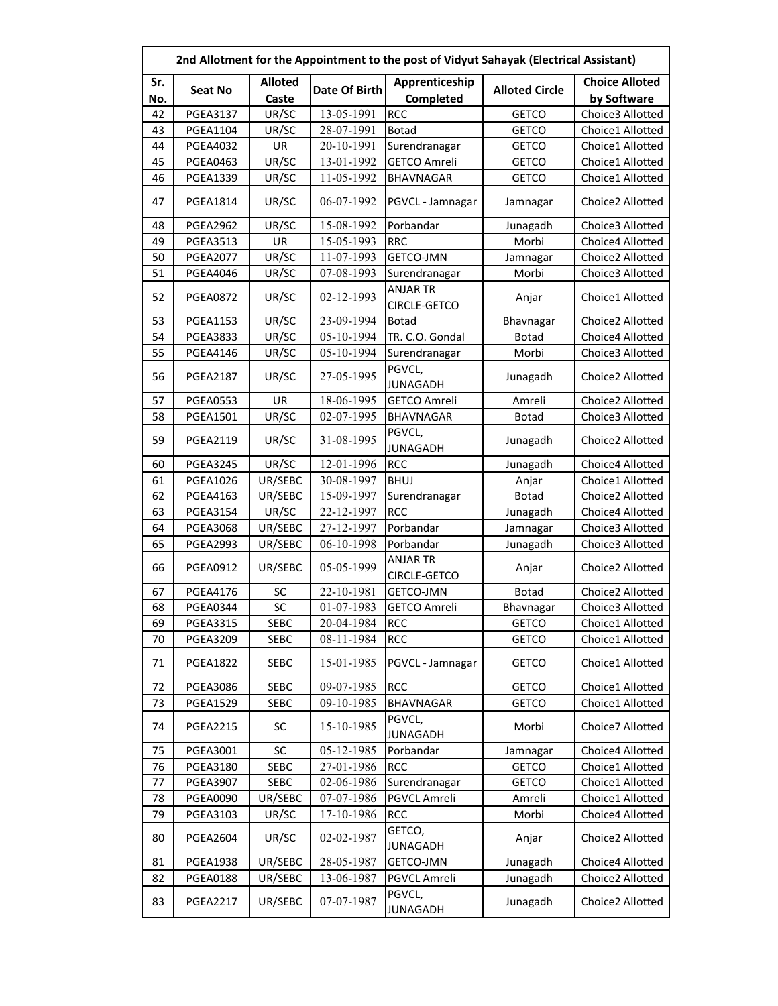|           | 2nd Allotment for the Appointment to the post of Vidyut Sahayak (Electrical Assistant) |                |                             |                                 |                       |                                 |  |  |
|-----------|----------------------------------------------------------------------------------------|----------------|-----------------------------|---------------------------------|-----------------------|---------------------------------|--|--|
| Sr.       | Seat No                                                                                | <b>Alloted</b> | Date Of Birth               | Apprenticeship                  | <b>Alloted Circle</b> | <b>Choice Alloted</b>           |  |  |
| No.<br>42 | <b>PGEA3137</b>                                                                        | Caste<br>UR/SC | 13-05-1991                  | Completed<br><b>RCC</b>         | <b>GETCO</b>          | by Software<br>Choice3 Allotted |  |  |
| 43        | <b>PGEA1104</b>                                                                        | UR/SC          | 28-07-1991                  | <b>Botad</b>                    | <b>GETCO</b>          | Choice1 Allotted                |  |  |
| 44        | <b>PGEA4032</b>                                                                        | UR             | 20-10-1991                  |                                 |                       | Choice1 Allotted                |  |  |
|           |                                                                                        |                |                             | Surendranagar                   | <b>GETCO</b>          |                                 |  |  |
| 45        | <b>PGEA0463</b>                                                                        | UR/SC          | 13-01-1992                  | <b>GETCO Amreli</b>             | <b>GETCO</b>          | Choice1 Allotted                |  |  |
| 46        | <b>PGEA1339</b>                                                                        | UR/SC          | 11-05-1992                  | <b>BHAVNAGAR</b>                | <b>GETCO</b>          | Choice1 Allotted                |  |  |
| 47        | PGEA1814                                                                               | UR/SC          | 06-07-1992                  | PGVCL - Jamnagar                | Jamnagar              | Choice2 Allotted                |  |  |
| 48        | <b>PGEA2962</b>                                                                        | UR/SC          | 15-08-1992                  | Porbandar                       | Junagadh              | Choice3 Allotted                |  |  |
| 49        | <b>PGEA3513</b>                                                                        | UR             | 15-05-1993                  | <b>RRC</b>                      | Morbi                 | Choice4 Allotted                |  |  |
| 50        | <b>PGEA2077</b>                                                                        | UR/SC          | 11-07-1993                  | GETCO-JMN                       | Jamnagar              | Choice2 Allotted                |  |  |
| 51        | <b>PGEA4046</b>                                                                        | UR/SC          | 07-08-1993                  | Surendranagar                   | Morbi                 | Choice3 Allotted                |  |  |
| 52        | <b>PGEA0872</b>                                                                        | UR/SC          | 02-12-1993                  | <b>ANJAR TR</b><br>CIRCLE-GETCO | Anjar                 | Choice1 Allotted                |  |  |
| 53        | <b>PGEA1153</b>                                                                        | UR/SC          | 23-09-1994                  | <b>Botad</b>                    | Bhavnagar             | Choice2 Allotted                |  |  |
| 54        | <b>PGEA3833</b>                                                                        | UR/SC          | 05-10-1994                  | TR. C.O. Gondal                 | <b>Botad</b>          | Choice4 Allotted                |  |  |
| 55        | <b>PGEA4146</b>                                                                        | UR/SC          | 05-10-1994                  | Surendranagar                   | Morbi                 | Choice3 Allotted                |  |  |
| 56        | <b>PGEA2187</b>                                                                        | UR/SC          | 27-05-1995                  | PGVCL,<br><b>JUNAGADH</b>       | Junagadh              | Choice2 Allotted                |  |  |
| 57        | <b>PGEA0553</b>                                                                        | UR             | 18-06-1995                  | <b>GETCO Amreli</b>             | Amreli                | Choice2 Allotted                |  |  |
| 58        | <b>PGEA1501</b>                                                                        | UR/SC          | 02-07-1995                  | <b>BHAVNAGAR</b>                | <b>Botad</b>          | Choice3 Allotted                |  |  |
| 59        | <b>PGEA2119</b>                                                                        | UR/SC          | 31-08-1995                  | PGVCL,<br><b>JUNAGADH</b>       | Junagadh              | Choice2 Allotted                |  |  |
| 60        | <b>PGEA3245</b>                                                                        | UR/SC          | 12-01-1996                  | <b>RCC</b>                      | Junagadh              | Choice4 Allotted                |  |  |
| 61        | <b>PGEA1026</b>                                                                        | UR/SEBC        | 30-08-1997                  | <b>BHUJ</b>                     | Anjar                 | Choice1 Allotted                |  |  |
| 62        | PGEA4163                                                                               | UR/SEBC        | 15-09-1997                  | Surendranagar                   | <b>Botad</b>          | Choice2 Allotted                |  |  |
| 63        | <b>PGEA3154</b>                                                                        | UR/SC          | 22-12-1997                  | <b>RCC</b>                      | Junagadh              | Choice4 Allotted                |  |  |
| 64        | <b>PGEA3068</b>                                                                        | UR/SEBC        | 27-12-1997                  | Porbandar                       | Jamnagar              | Choice3 Allotted                |  |  |
| 65        | <b>PGEA2993</b>                                                                        | UR/SEBC        | 06-10-1998                  | Porbandar                       | Junagadh              | Choice3 Allotted                |  |  |
| 66        | <b>PGEA0912</b>                                                                        | UR/SEBC        | 05-05-1999                  | <b>ANJAR TR</b><br>CIRCLE-GETCO | Anjar                 | Choice2 Allotted                |  |  |
| 67        | <b>PGEA4176</b>                                                                        | SC             | 22-10-1981                  | GETCO-JMN                       | <b>Botad</b>          | Choice2 Allotted                |  |  |
| 68        | <b>PGEA0344</b>                                                                        | SC             | 01-07-1983                  | <b>GETCO Amreli</b>             | Bhavnagar             | Choice3 Allotted                |  |  |
| 69        | PGEA3315                                                                               | <b>SEBC</b>    | 20-04-1984                  | <b>RCC</b>                      | <b>GETCO</b>          | Choice1 Allotted                |  |  |
| 70        | <b>PGEA3209</b>                                                                        | <b>SEBC</b>    | 08-11-1984                  | <b>RCC</b>                      | <b>GETCO</b>          | Choice1 Allotted                |  |  |
| 71        | <b>PGEA1822</b>                                                                        | SEBC           | 15-01-1985                  | PGVCL - Jamnagar                | <b>GETCO</b>          | Choice1 Allotted                |  |  |
| 72        | <b>PGEA3086</b>                                                                        | <b>SEBC</b>    | 09-07-1985                  | <b>RCC</b>                      | <b>GETCO</b>          | Choice1 Allotted                |  |  |
| 73        | <b>PGEA1529</b>                                                                        | <b>SEBC</b>    | $\overline{09} - 10 - 1985$ | <b>BHAVNAGAR</b>                | <b>GETCO</b>          | Choice1 Allotted                |  |  |
| 74        | <b>PGEA2215</b>                                                                        | SC             | 15-10-1985                  | PGVCL,<br><b>JUNAGADH</b>       | Morbi                 | Choice7 Allotted                |  |  |
| 75        | <b>PGEA3001</b>                                                                        | SC             | 05-12-1985                  | Porbandar                       | Jamnagar              | Choice4 Allotted                |  |  |
| 76        | <b>PGEA3180</b>                                                                        | <b>SEBC</b>    | 27-01-1986                  | <b>RCC</b>                      | <b>GETCO</b>          | Choice1 Allotted                |  |  |
| 77        | <b>PGEA3907</b>                                                                        | SEBC           | 02-06-1986                  | Surendranagar                   | <b>GETCO</b>          | Choice1 Allotted                |  |  |
| 78        | <b>PGEA0090</b>                                                                        | UR/SEBC        | 07-07-1986                  | PGVCL Amreli                    | Amreli                | Choice1 Allotted                |  |  |
| 79        | <b>PGEA3103</b>                                                                        | UR/SC          | 17-10-1986                  | <b>RCC</b>                      | Morbi                 | Choice4 Allotted                |  |  |
| 80        | <b>PGEA2604</b>                                                                        | UR/SC          | 02-02-1987                  | GETCO,<br><b>JUNAGADH</b>       | Anjar                 | Choice2 Allotted                |  |  |
| 81        | <b>PGEA1938</b>                                                                        | UR/SEBC        | 28-05-1987                  | GETCO-JMN                       | Junagadh              | Choice4 Allotted                |  |  |
| 82        | <b>PGEA0188</b>                                                                        | UR/SEBC        | 13-06-1987                  | PGVCL Amreli                    | Junagadh              | Choice2 Allotted                |  |  |
| 83        | <b>PGEA2217</b>                                                                        | UR/SEBC        | 07-07-1987                  | PGVCL,<br><b>JUNAGADH</b>       | Junagadh              | Choice2 Allotted                |  |  |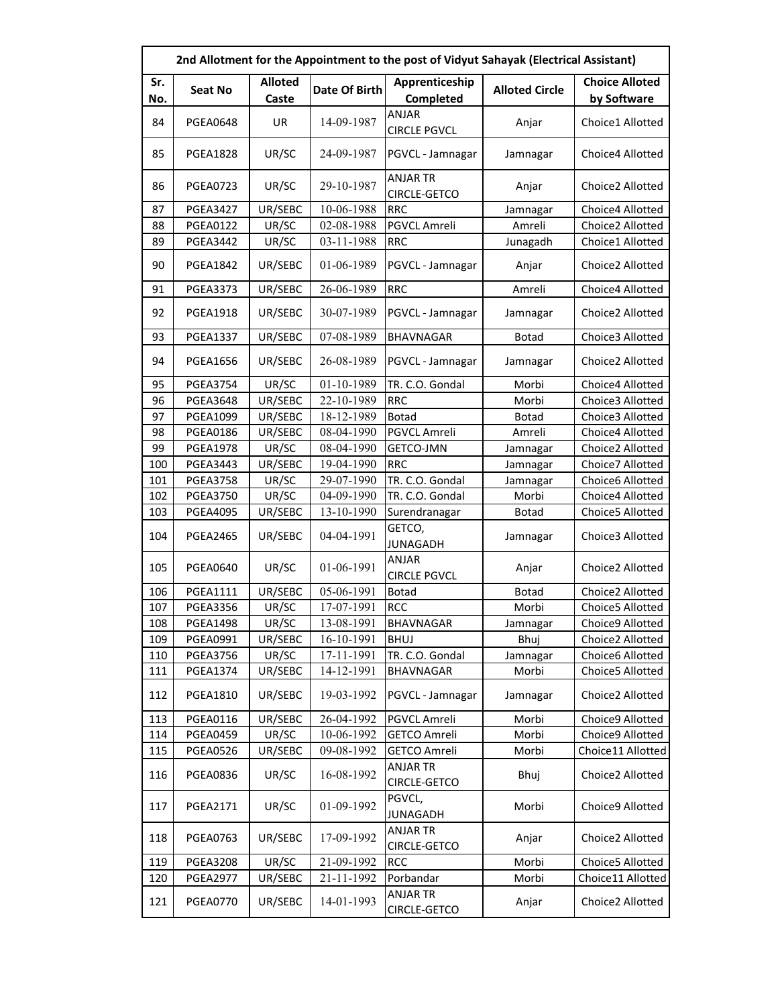|            | 2nd Allotment for the Appointment to the post of Vidyut Sahayak (Electrical Assistant) |                         |               |                                 |                       |                                      |  |  |
|------------|----------------------------------------------------------------------------------------|-------------------------|---------------|---------------------------------|-----------------------|--------------------------------------|--|--|
| Sr.<br>No. | <b>Seat No</b>                                                                         | <b>Alloted</b><br>Caste | Date Of Birth | Apprenticeship<br>Completed     | <b>Alloted Circle</b> | <b>Choice Alloted</b><br>by Software |  |  |
| 84         | <b>PGEA0648</b>                                                                        | UR                      | 14-09-1987    | ANJAR<br><b>CIRCLE PGVCL</b>    | Anjar                 | Choice1 Allotted                     |  |  |
| 85         | <b>PGEA1828</b>                                                                        | UR/SC                   | 24-09-1987    | PGVCL - Jamnagar                | Jamnagar              | Choice4 Allotted                     |  |  |
| 86         | <b>PGEA0723</b>                                                                        | UR/SC                   | 29-10-1987    | <b>ANJAR TR</b><br>CIRCLE-GETCO | Anjar                 | Choice2 Allotted                     |  |  |
| 87         | <b>PGEA3427</b>                                                                        | UR/SEBC                 | 10-06-1988    | <b>RRC</b>                      | Jamnagar              | Choice4 Allotted                     |  |  |
| 88         | <b>PGEA0122</b>                                                                        | UR/SC                   | 02-08-1988    | PGVCL Amreli                    | Amreli                | Choice2 Allotted                     |  |  |
| 89         | <b>PGEA3442</b>                                                                        | UR/SC                   | 03-11-1988    | <b>RRC</b>                      | Junagadh              | Choice1 Allotted                     |  |  |
| 90         | <b>PGEA1842</b>                                                                        | UR/SEBC                 | 01-06-1989    | PGVCL - Jamnagar                | Anjar                 | Choice2 Allotted                     |  |  |
| 91         | <b>PGEA3373</b>                                                                        | UR/SEBC                 | 26-06-1989    | <b>RRC</b>                      | Amreli                | Choice4 Allotted                     |  |  |
| 92         | <b>PGEA1918</b>                                                                        | UR/SEBC                 | 30-07-1989    | PGVCL - Jamnagar                | Jamnagar              | Choice2 Allotted                     |  |  |
| 93         | <b>PGEA1337</b>                                                                        | UR/SEBC                 | 07-08-1989    | <b>BHAVNAGAR</b>                | <b>Botad</b>          | Choice3 Allotted                     |  |  |
| 94         | <b>PGEA1656</b>                                                                        | UR/SEBC                 | 26-08-1989    | PGVCL - Jamnagar                | Jamnagar              | Choice2 Allotted                     |  |  |
| 95         | <b>PGEA3754</b>                                                                        | UR/SC                   | 01-10-1989    | TR. C.O. Gondal                 | Morbi                 | Choice4 Allotted                     |  |  |
| 96         | <b>PGEA3648</b>                                                                        | UR/SEBC                 | 22-10-1989    | <b>RRC</b>                      | Morbi                 | Choice3 Allotted                     |  |  |
| 97         | <b>PGEA1099</b>                                                                        | UR/SEBC                 | 18-12-1989    | <b>Botad</b>                    | <b>Botad</b>          | Choice3 Allotted                     |  |  |
| 98         | <b>PGEA0186</b>                                                                        | UR/SEBC                 | 08-04-1990    | PGVCL Amreli                    | Amreli                | Choice4 Allotted                     |  |  |
| 99         | <b>PGEA1978</b>                                                                        | UR/SC                   | 08-04-1990    | GETCO-JMN                       | Jamnagar              | Choice2 Allotted                     |  |  |
| 100        | <b>PGEA3443</b>                                                                        | UR/SEBC                 | 19-04-1990    | <b>RRC</b>                      | Jamnagar              | Choice7 Allotted                     |  |  |
| 101        | <b>PGEA3758</b>                                                                        | UR/SC                   | 29-07-1990    | TR. C.O. Gondal                 | Jamnagar              | Choice6 Allotted                     |  |  |
| 102        | <b>PGEA3750</b>                                                                        | UR/SC                   | 04-09-1990    | TR. C.O. Gondal                 | Morbi                 | Choice4 Allotted                     |  |  |
| 103        | <b>PGEA4095</b>                                                                        | UR/SEBC                 | 13-10-1990    | Surendranagar                   | <b>Botad</b>          | Choice5 Allotted                     |  |  |
| 104        | <b>PGEA2465</b>                                                                        | UR/SEBC                 | 04-04-1991    | GETCO,<br><b>JUNAGADH</b>       | Jamnagar              | Choice3 Allotted                     |  |  |
| 105        | <b>PGEA0640</b>                                                                        | UR/SC                   | 01-06-1991    | ANJAR<br><b>CIRCLE PGVCL</b>    | Anjar                 | Choice2 Allotted                     |  |  |
| 106        | <b>PGEA1111</b>                                                                        | UR/SEBC                 | 05-06-1991    | <b>Botad</b>                    | <b>Botad</b>          | Choice2 Allotted                     |  |  |
| 107        | <b>PGEA3356</b>                                                                        | UR/SC                   | 17-07-1991    | <b>RCC</b>                      | Morbi                 | Choice5 Allotted                     |  |  |
| 108        | <b>PGEA1498</b>                                                                        | UR/SC                   | 13-08-1991    | <b>BHAVNAGAR</b>                | Jamnagar              | Choice9 Allotted                     |  |  |
| 109        | PGEA0991                                                                               | UR/SEBC                 | 16-10-1991    | <b>BHUJ</b>                     | Bhuj                  | Choice2 Allotted                     |  |  |
| 110        | <b>PGEA3756</b>                                                                        | UR/SC                   | 17-11-1991    | TR. C.O. Gondal                 | Jamnagar              | Choice6 Allotted                     |  |  |
| 111        | <b>PGEA1374</b>                                                                        | UR/SEBC                 | 14-12-1991    | BHAVNAGAR                       | Morbi                 | Choice5 Allotted                     |  |  |
| 112        | <b>PGEA1810</b>                                                                        | UR/SEBC                 | 19-03-1992    | PGVCL - Jamnagar                | Jamnagar              | Choice2 Allotted                     |  |  |
| 113        | <b>PGEA0116</b>                                                                        | UR/SEBC                 | 26-04-1992    | PGVCL Amreli                    | Morbi                 | Choice9 Allotted                     |  |  |
| 114        | <b>PGEA0459</b>                                                                        | UR/SC                   | 10-06-1992    | <b>GETCO Amreli</b>             | Morbi                 | Choice9 Allotted                     |  |  |
| 115        | <b>PGEA0526</b>                                                                        | UR/SEBC                 | 09-08-1992    | <b>GETCO Amreli</b>             | Morbi                 | Choice11 Allotted                    |  |  |
| 116        | <b>PGEA0836</b>                                                                        | UR/SC                   | 16-08-1992    | ANJAR TR<br><b>CIRCLE-GETCO</b> | Bhuj                  | Choice2 Allotted                     |  |  |
| 117        | <b>PGEA2171</b>                                                                        | UR/SC                   | 01-09-1992    | PGVCL,<br><b>JUNAGADH</b>       | Morbi                 | Choice9 Allotted                     |  |  |
| 118        | <b>PGEA0763</b>                                                                        | UR/SEBC                 | 17-09-1992    | <b>ANJAR TR</b><br>CIRCLE-GETCO | Anjar                 | Choice2 Allotted                     |  |  |
| 119        | <b>PGEA3208</b>                                                                        | UR/SC                   | 21-09-1992    | <b>RCC</b>                      | Morbi                 | Choice5 Allotted                     |  |  |
| 120        | <b>PGEA2977</b>                                                                        | UR/SEBC                 | 21-11-1992    | Porbandar                       | Morbi                 | Choice11 Allotted                    |  |  |
| 121        | <b>PGEA0770</b>                                                                        | UR/SEBC                 | 14-01-1993    | <b>ANJAR TR</b><br>CIRCLE-GETCO | Anjar                 | Choice2 Allotted                     |  |  |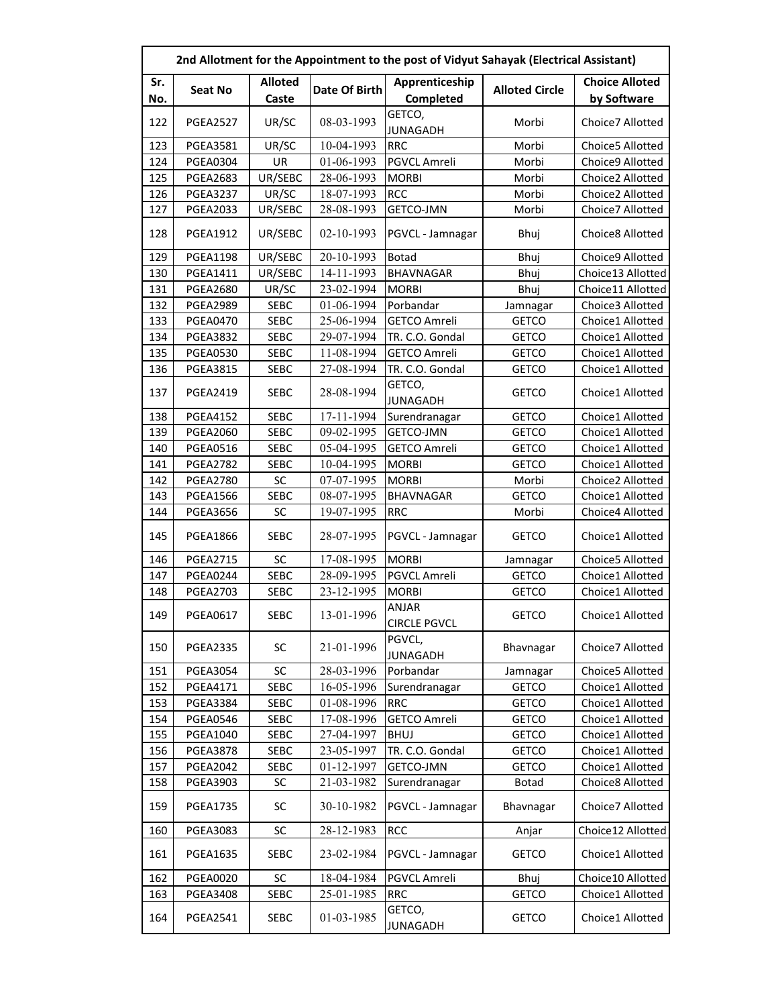|     | 2nd Allotment for the Appointment to the post of Vidyut Sahayak (Electrical Assistant) |                |               |                              |                       |                       |  |  |
|-----|----------------------------------------------------------------------------------------|----------------|---------------|------------------------------|-----------------------|-----------------------|--|--|
| Sr. |                                                                                        | <b>Alloted</b> |               | Apprenticeship               |                       | <b>Choice Alloted</b> |  |  |
| No. | <b>Seat No</b>                                                                         | Caste          | Date Of Birth | Completed                    | <b>Alloted Circle</b> | by Software           |  |  |
| 122 | <b>PGEA2527</b>                                                                        | UR/SC          | 08-03-1993    | GETCO,<br><b>JUNAGADH</b>    | Morbi                 | Choice7 Allotted      |  |  |
| 123 | <b>PGEA3581</b>                                                                        | UR/SC          | 10-04-1993    | <b>RRC</b>                   | Morbi                 | Choice5 Allotted      |  |  |
| 124 | <b>PGEA0304</b>                                                                        | UR             | 01-06-1993    | <b>PGVCL Amreli</b>          | Morbi                 | Choice9 Allotted      |  |  |
| 125 | <b>PGEA2683</b>                                                                        | UR/SEBC        | 28-06-1993    | <b>MORBI</b>                 | Morbi                 | Choice2 Allotted      |  |  |
| 126 | <b>PGEA3237</b>                                                                        | UR/SC          | 18-07-1993    | <b>RCC</b>                   | Morbi                 | Choice2 Allotted      |  |  |
| 127 | <b>PGEA2033</b>                                                                        | UR/SEBC        | 28-08-1993    | GETCO-JMN                    | Morbi                 | Choice7 Allotted      |  |  |
| 128 | <b>PGEA1912</b>                                                                        | UR/SEBC        | 02-10-1993    | PGVCL - Jamnagar             | Bhuj                  | Choice8 Allotted      |  |  |
| 129 | <b>PGEA1198</b>                                                                        | UR/SEBC        | 20-10-1993    | <b>Botad</b>                 | Bhuj                  | Choice9 Allotted      |  |  |
| 130 | <b>PGEA1411</b>                                                                        | UR/SEBC        | 14-11-1993    | <b>BHAVNAGAR</b>             | Bhuj                  | Choice13 Allotted     |  |  |
| 131 | <b>PGEA2680</b>                                                                        | UR/SC          | 23-02-1994    | <b>MORBI</b>                 | Bhuj                  | Choice11 Allotted     |  |  |
| 132 | <b>PGEA2989</b>                                                                        | <b>SEBC</b>    | 01-06-1994    | Porbandar                    | Jamnagar              | Choice3 Allotted      |  |  |
| 133 | <b>PGEA0470</b>                                                                        | <b>SEBC</b>    | 25-06-1994    | <b>GETCO Amreli</b>          | <b>GETCO</b>          | Choice1 Allotted      |  |  |
| 134 | <b>PGEA3832</b>                                                                        | <b>SEBC</b>    | 29-07-1994    | TR. C.O. Gondal              | <b>GETCO</b>          | Choice1 Allotted      |  |  |
| 135 | <b>PGEA0530</b>                                                                        | <b>SEBC</b>    | 11-08-1994    | <b>GETCO Amreli</b>          | <b>GETCO</b>          | Choice1 Allotted      |  |  |
| 136 | <b>PGEA3815</b>                                                                        | <b>SEBC</b>    | 27-08-1994    | TR. C.O. Gondal              | <b>GETCO</b>          | Choice1 Allotted      |  |  |
| 137 | <b>PGEA2419</b>                                                                        | <b>SEBC</b>    | 28-08-1994    | GETCO,<br><b>JUNAGADH</b>    | <b>GETCO</b>          | Choice1 Allotted      |  |  |
| 138 | <b>PGEA4152</b>                                                                        | <b>SEBC</b>    | 17-11-1994    | Surendranagar                | <b>GETCO</b>          | Choice1 Allotted      |  |  |
| 139 | <b>PGEA2060</b>                                                                        | <b>SEBC</b>    | 09-02-1995    | GETCO-JMN                    | <b>GETCO</b>          | Choice1 Allotted      |  |  |
| 140 | <b>PGEA0516</b>                                                                        | <b>SEBC</b>    | 05-04-1995    | <b>GETCO Amreli</b>          | <b>GETCO</b>          | Choice1 Allotted      |  |  |
| 141 | <b>PGEA2782</b>                                                                        | <b>SEBC</b>    | 10-04-1995    | <b>MORBI</b>                 | <b>GETCO</b>          | Choice1 Allotted      |  |  |
| 142 | <b>PGEA2780</b>                                                                        | SC             | 07-07-1995    | <b>MORBI</b>                 | Morbi                 | Choice2 Allotted      |  |  |
| 143 | <b>PGEA1566</b>                                                                        | <b>SEBC</b>    | 08-07-1995    | <b>BHAVNAGAR</b>             | <b>GETCO</b>          | Choice1 Allotted      |  |  |
| 144 | <b>PGEA3656</b>                                                                        | <b>SC</b>      | 19-07-1995    | <b>RRC</b>                   | Morbi                 | Choice4 Allotted      |  |  |
| 145 | <b>PGEA1866</b>                                                                        | <b>SEBC</b>    | 28-07-1995    | PGVCL - Jamnagar             | <b>GETCO</b>          | Choice1 Allotted      |  |  |
| 146 | <b>PGEA2715</b>                                                                        | SC             | 17-08-1995    | <b>MORBI</b>                 | Jamnagar              | Choice5 Allotted      |  |  |
| 147 | <b>PGEA0244</b>                                                                        | <b>SEBC</b>    | 28-09-1995    | PGVCL Amreli                 | <b>GETCO</b>          | Choice1 Allotted      |  |  |
| 148 | <b>PGEA2703</b>                                                                        | <b>SEBC</b>    | 23-12-1995    | <b>MORBI</b>                 | <b>GETCO</b>          | Choice1 Allotted      |  |  |
| 149 | <b>PGEA0617</b>                                                                        | <b>SEBC</b>    | 13-01-1996    | ANJAR<br><b>CIRCLE PGVCL</b> | <b>GETCO</b>          | Choice1 Allotted      |  |  |
| 150 | <b>PGEA2335</b>                                                                        | SC             | 21-01-1996    | PGVCL,<br><b>JUNAGADH</b>    | Bhavnagar             | Choice7 Allotted      |  |  |
| 151 | <b>PGEA3054</b>                                                                        | SC             | 28-03-1996    | Porbandar                    | Jamnagar              | Choice5 Allotted      |  |  |
| 152 | <b>PGEA4171</b>                                                                        | <b>SEBC</b>    | 16-05-1996    | Surendranagar                | <b>GETCO</b>          | Choice1 Allotted      |  |  |
| 153 | <b>PGEA3384</b>                                                                        | <b>SEBC</b>    | 01-08-1996    | <b>RRC</b>                   | <b>GETCO</b>          | Choice1 Allotted      |  |  |
| 154 | <b>PGEA0546</b>                                                                        | <b>SEBC</b>    | 17-08-1996    | <b>GETCO Amreli</b>          | <b>GETCO</b>          | Choice1 Allotted      |  |  |
| 155 | <b>PGEA1040</b>                                                                        | <b>SEBC</b>    | 27-04-1997    | <b>BHUJ</b>                  | <b>GETCO</b>          | Choice1 Allotted      |  |  |
| 156 | <b>PGEA3878</b>                                                                        | SEBC           | 23-05-1997    | TR. C.O. Gondal              | <b>GETCO</b>          | Choice1 Allotted      |  |  |
| 157 | <b>PGEA2042</b>                                                                        | <b>SEBC</b>    | 01-12-1997    | GETCO-JMN                    | <b>GETCO</b>          | Choice1 Allotted      |  |  |
| 158 | <b>PGEA3903</b>                                                                        | SC             | 21-03-1982    | Surendranagar                | <b>Botad</b>          | Choice8 Allotted      |  |  |
| 159 | <b>PGEA1735</b>                                                                        | SC             | 30-10-1982    | PGVCL - Jamnagar             | Bhavnagar             | Choice7 Allotted      |  |  |
| 160 | <b>PGEA3083</b>                                                                        | SC             | 28-12-1983    | <b>RCC</b>                   | Anjar                 | Choice12 Allotted     |  |  |
| 161 | <b>PGEA1635</b>                                                                        | <b>SEBC</b>    | 23-02-1984    | PGVCL - Jamnagar             | <b>GETCO</b>          | Choice1 Allotted      |  |  |
| 162 | <b>PGEA0020</b>                                                                        | SC             | 18-04-1984    | PGVCL Amreli                 | Bhuj                  | Choice10 Allotted     |  |  |
| 163 | <b>PGEA3408</b>                                                                        | <b>SEBC</b>    | 25-01-1985    | <b>RRC</b>                   | <b>GETCO</b>          | Choice1 Allotted      |  |  |
| 164 | <b>PGEA2541</b>                                                                        | SEBC           | 01-03-1985    | GETCO,<br><b>JUNAGADH</b>    | <b>GETCO</b>          | Choice1 Allotted      |  |  |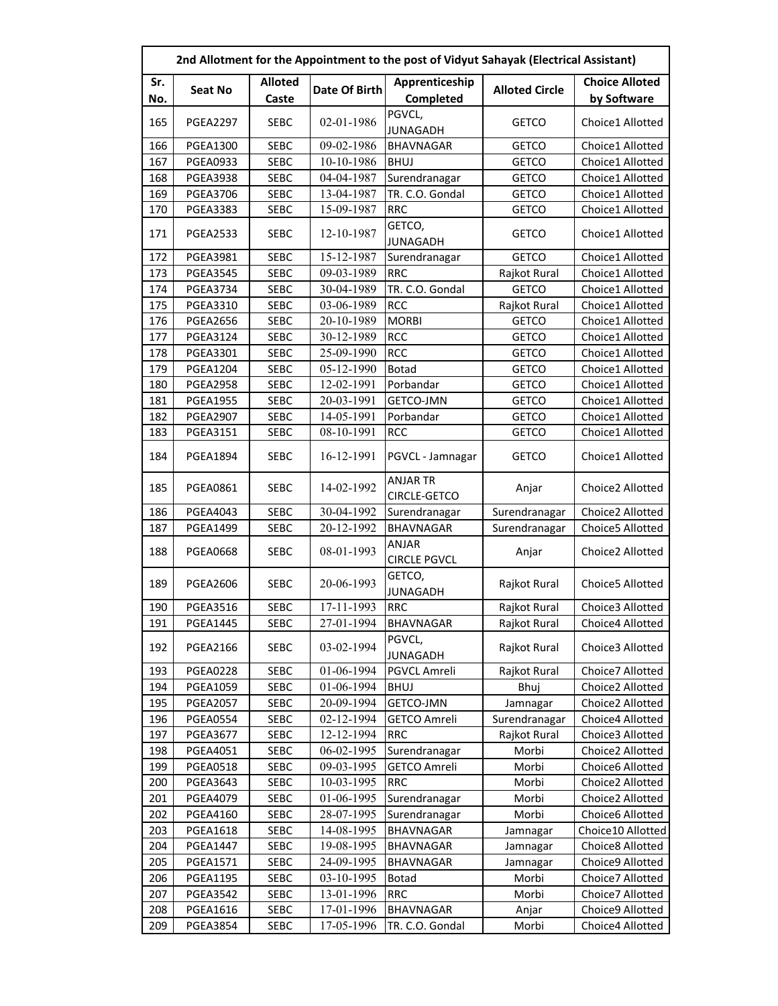|     | 2nd Allotment for the Appointment to the post of Vidyut Sahayak (Electrical Assistant) |                |               |                                     |                       |                       |  |  |
|-----|----------------------------------------------------------------------------------------|----------------|---------------|-------------------------------------|-----------------------|-----------------------|--|--|
| Sr. |                                                                                        | <b>Alloted</b> | Date Of Birth | Apprenticeship                      | <b>Alloted Circle</b> | <b>Choice Alloted</b> |  |  |
| No. | <b>Seat No</b>                                                                         | Caste          |               | Completed                           |                       | by Software           |  |  |
| 165 | <b>PGEA2297</b>                                                                        | <b>SEBC</b>    | 02-01-1986    | PGVCL,<br><b>JUNAGADH</b>           | <b>GETCO</b>          | Choice1 Allotted      |  |  |
| 166 | <b>PGEA1300</b>                                                                        | <b>SEBC</b>    | 09-02-1986    | <b>BHAVNAGAR</b>                    | <b>GETCO</b>          | Choice1 Allotted      |  |  |
| 167 | <b>PGEA0933</b>                                                                        | <b>SEBC</b>    | 10-10-1986    | <b>BHUJ</b>                         | <b>GETCO</b>          | Choice1 Allotted      |  |  |
| 168 | <b>PGEA3938</b>                                                                        | <b>SEBC</b>    | 04-04-1987    | Surendranagar                       | <b>GETCO</b>          | Choice1 Allotted      |  |  |
| 169 | <b>PGEA3706</b>                                                                        | <b>SEBC</b>    | 13-04-1987    | TR. C.O. Gondal                     | <b>GETCO</b>          | Choice1 Allotted      |  |  |
| 170 | <b>PGEA3383</b>                                                                        | <b>SEBC</b>    | 15-09-1987    | <b>RRC</b>                          | <b>GETCO</b>          | Choice1 Allotted      |  |  |
| 171 | <b>PGEA2533</b>                                                                        | <b>SEBC</b>    | 12-10-1987    | GETCO,<br><b>JUNAGADH</b>           | <b>GETCO</b>          | Choice1 Allotted      |  |  |
| 172 | <b>PGEA3981</b>                                                                        | <b>SEBC</b>    | 15-12-1987    | Surendranagar                       | <b>GETCO</b>          | Choice1 Allotted      |  |  |
| 173 | <b>PGEA3545</b>                                                                        | <b>SEBC</b>    | 09-03-1989    | <b>RRC</b>                          | Rajkot Rural          | Choice1 Allotted      |  |  |
| 174 | <b>PGEA3734</b>                                                                        | <b>SEBC</b>    | 30-04-1989    | TR. C.O. Gondal                     | <b>GETCO</b>          | Choice1 Allotted      |  |  |
| 175 | <b>PGEA3310</b>                                                                        | <b>SEBC</b>    | 03-06-1989    | <b>RCC</b>                          | Rajkot Rural          | Choice1 Allotted      |  |  |
| 176 | <b>PGEA2656</b>                                                                        | <b>SEBC</b>    | 20-10-1989    | <b>MORBI</b>                        | <b>GETCO</b>          | Choice1 Allotted      |  |  |
| 177 | <b>PGEA3124</b>                                                                        | <b>SEBC</b>    | 30-12-1989    | <b>RCC</b>                          | <b>GETCO</b>          | Choice1 Allotted      |  |  |
| 178 | <b>PGEA3301</b>                                                                        | <b>SEBC</b>    | 25-09-1990    | <b>RCC</b>                          | <b>GETCO</b>          | Choice1 Allotted      |  |  |
| 179 | <b>PGEA1204</b>                                                                        | <b>SEBC</b>    | 05-12-1990    | <b>Botad</b>                        | <b>GETCO</b>          | Choice1 Allotted      |  |  |
| 180 | <b>PGEA2958</b>                                                                        | <b>SEBC</b>    | 12-02-1991    | Porbandar                           | <b>GETCO</b>          | Choice1 Allotted      |  |  |
| 181 | <b>PGEA1955</b>                                                                        | <b>SEBC</b>    | 20-03-1991    | <b>GETCO-JMN</b>                    | <b>GETCO</b>          | Choice1 Allotted      |  |  |
| 182 | <b>PGEA2907</b>                                                                        | <b>SEBC</b>    | 14-05-1991    | Porbandar                           | <b>GETCO</b>          | Choice1 Allotted      |  |  |
| 183 | <b>PGEA3151</b>                                                                        | <b>SEBC</b>    | 08-10-1991    | <b>RCC</b>                          | <b>GETCO</b>          | Choice1 Allotted      |  |  |
| 184 | <b>PGEA1894</b>                                                                        | <b>SEBC</b>    | 16-12-1991    | PGVCL - Jamnagar                    | <b>GETCO</b>          | Choice1 Allotted      |  |  |
| 185 | <b>PGEA0861</b>                                                                        | <b>SEBC</b>    | 14-02-1992    | <b>ANJAR TR</b><br>CIRCLE-GETCO     | Anjar                 | Choice2 Allotted      |  |  |
| 186 | PGEA4043                                                                               | <b>SEBC</b>    | 30-04-1992    | Surendranagar                       | Surendranagar         | Choice2 Allotted      |  |  |
| 187 | <b>PGEA1499</b>                                                                        | <b>SEBC</b>    | 20-12-1992    | <b>BHAVNAGAR</b>                    | Surendranagar         | Choice5 Allotted      |  |  |
| 188 | <b>PGEA0668</b>                                                                        | <b>SEBC</b>    | 08-01-1993    | <b>ANJAR</b><br><b>CIRCLE PGVCL</b> | Anjar                 | Choice2 Allotted      |  |  |
| 189 | <b>PGEA2606</b>                                                                        | <b>SEBC</b>    | 20-06-1993    | GETCO,<br><b>JUNAGADH</b>           | Rajkot Rural          | Choice5 Allotted      |  |  |
| 190 | <b>PGEA3516</b>                                                                        | <b>SEBC</b>    | 17-11-1993    | <b>RRC</b>                          | Rajkot Rural          | Choice3 Allotted      |  |  |
| 191 | <b>PGEA1445</b>                                                                        | <b>SEBC</b>    | 27-01-1994    | <b>BHAVNAGAR</b>                    | Rajkot Rural          | Choice4 Allotted      |  |  |
| 192 | <b>PGEA2166</b>                                                                        | <b>SEBC</b>    | 03-02-1994    | PGVCL,<br><b>JUNAGADH</b>           | Rajkot Rural          | Choice3 Allotted      |  |  |
| 193 | <b>PGEA0228</b>                                                                        | <b>SEBC</b>    | 01-06-1994    | PGVCL Amreli                        | Rajkot Rural          | Choice7 Allotted      |  |  |
| 194 | <b>PGEA1059</b>                                                                        | <b>SEBC</b>    | 01-06-1994    | <b>BHUJ</b>                         | Bhuj                  | Choice2 Allotted      |  |  |
| 195 | <b>PGEA2057</b>                                                                        | SEBC           | 20-09-1994    | GETCO-JMN                           | Jamnagar              | Choice2 Allotted      |  |  |
| 196 | <b>PGEA0554</b>                                                                        | <b>SEBC</b>    | 02-12-1994    | <b>GETCO Amreli</b>                 | Surendranagar         | Choice4 Allotted      |  |  |
| 197 | <b>PGEA3677</b>                                                                        | SEBC           | 12-12-1994    | <b>RRC</b>                          | Rajkot Rural          | Choice3 Allotted      |  |  |
| 198 | <b>PGEA4051</b>                                                                        | <b>SEBC</b>    | 06-02-1995    | Surendranagar                       | Morbi                 | Choice2 Allotted      |  |  |
| 199 | <b>PGEA0518</b>                                                                        | <b>SEBC</b>    | 09-03-1995    | <b>GETCO Amreli</b>                 | Morbi                 | Choice6 Allotted      |  |  |
| 200 | <b>PGEA3643</b>                                                                        | <b>SEBC</b>    | 10-03-1995    | <b>RRC</b>                          | Morbi                 | Choice2 Allotted      |  |  |
| 201 | <b>PGEA4079</b>                                                                        | SEBC           | 01-06-1995    | Surendranagar                       | Morbi                 | Choice2 Allotted      |  |  |
| 202 | <b>PGEA4160</b>                                                                        | SEBC           | 28-07-1995    | Surendranagar                       | Morbi                 | Choice6 Allotted      |  |  |
| 203 | <b>PGEA1618</b>                                                                        | <b>SEBC</b>    | 14-08-1995    | <b>BHAVNAGAR</b>                    | Jamnagar              | Choice10 Allotted     |  |  |
| 204 | <b>PGEA1447</b>                                                                        | SEBC           | 19-08-1995    | <b>BHAVNAGAR</b>                    | Jamnagar              | Choice8 Allotted      |  |  |
| 205 | <b>PGEA1571</b>                                                                        | <b>SEBC</b>    | 24-09-1995    | <b>BHAVNAGAR</b>                    | Jamnagar              | Choice9 Allotted      |  |  |
| 206 | <b>PGEA1195</b>                                                                        | SEBC           | 03-10-1995    | <b>Botad</b>                        | Morbi                 | Choice7 Allotted      |  |  |
| 207 | <b>PGEA3542</b>                                                                        | SEBC           | 13-01-1996    | <b>RRC</b>                          | Morbi                 | Choice7 Allotted      |  |  |
| 208 | <b>PGEA1616</b>                                                                        | SEBC           | 17-01-1996    | BHAVNAGAR                           | Anjar                 | Choice9 Allotted      |  |  |
| 209 | <b>PGEA3854</b>                                                                        | <b>SEBC</b>    | 17-05-1996    | TR. C.O. Gondal                     | Morbi                 | Choice4 Allotted      |  |  |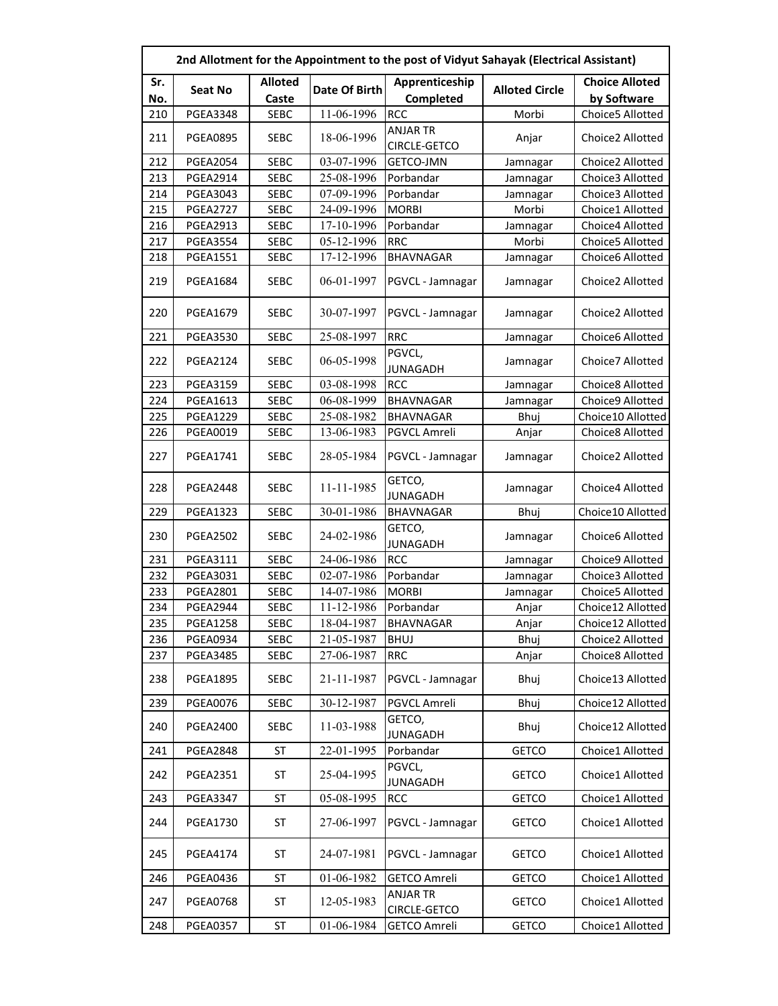|            | 2nd Allotment for the Appointment to the post of Vidyut Sahayak (Electrical Assistant) |                         |               |                                 |                       |                                      |  |  |
|------------|----------------------------------------------------------------------------------------|-------------------------|---------------|---------------------------------|-----------------------|--------------------------------------|--|--|
| Sr.<br>No. | Seat No                                                                                | <b>Alloted</b><br>Caste | Date Of Birth | Apprenticeship<br>Completed     | <b>Alloted Circle</b> | <b>Choice Alloted</b><br>by Software |  |  |
| 210        | <b>PGEA3348</b>                                                                        | <b>SEBC</b>             | 11-06-1996    | <b>RCC</b>                      | Morbi                 | Choice5 Allotted                     |  |  |
| 211        | <b>PGEA0895</b>                                                                        | <b>SEBC</b>             | 18-06-1996    | <b>ANJAR TR</b><br>CIRCLE-GETCO | Anjar                 | Choice2 Allotted                     |  |  |
| 212        | <b>PGEA2054</b>                                                                        | <b>SEBC</b>             | 03-07-1996    | <b>GETCO-JMN</b>                | Jamnagar              | Choice2 Allotted                     |  |  |
| 213        | <b>PGEA2914</b>                                                                        | <b>SEBC</b>             | 25-08-1996    | Porbandar                       | Jamnagar              | Choice3 Allotted                     |  |  |
| 214        | <b>PGEA3043</b>                                                                        | <b>SEBC</b>             | 07-09-1996    | Porbandar                       | Jamnagar              | Choice3 Allotted                     |  |  |
| 215        | <b>PGEA2727</b>                                                                        | <b>SEBC</b>             | 24-09-1996    | <b>MORBI</b>                    | Morbi                 | Choice1 Allotted                     |  |  |
| 216        | <b>PGEA2913</b>                                                                        | <b>SEBC</b>             | 17-10-1996    | Porbandar                       | Jamnagar              | Choice4 Allotted                     |  |  |
| 217        | <b>PGEA3554</b>                                                                        | <b>SEBC</b>             | 05-12-1996    | <b>RRC</b>                      | Morbi                 | Choice5 Allotted                     |  |  |
| 218        | <b>PGEA1551</b>                                                                        | SEBC                    | 17-12-1996    | <b>BHAVNAGAR</b>                | Jamnagar              | Choice6 Allotted                     |  |  |
| 219        | <b>PGEA1684</b>                                                                        | <b>SEBC</b>             | 06-01-1997    | PGVCL - Jamnagar                | Jamnagar              | Choice2 Allotted                     |  |  |
| 220        | <b>PGEA1679</b>                                                                        | <b>SEBC</b>             | 30-07-1997    | PGVCL - Jamnagar                | Jamnagar              | Choice2 Allotted                     |  |  |
| 221        | <b>PGEA3530</b>                                                                        | <b>SEBC</b>             | 25-08-1997    | <b>RRC</b>                      | Jamnagar              | Choice6 Allotted                     |  |  |
| 222        | <b>PGEA2124</b>                                                                        | <b>SEBC</b>             | 06-05-1998    | PGVCL,<br><b>JUNAGADH</b>       | Jamnagar              | Choice7 Allotted                     |  |  |
| 223        | <b>PGEA3159</b>                                                                        | <b>SEBC</b>             | 03-08-1998    | <b>RCC</b>                      | Jamnagar              | Choice8 Allotted                     |  |  |
| 224        | <b>PGEA1613</b>                                                                        | <b>SEBC</b>             | 06-08-1999    | <b>BHAVNAGAR</b>                | Jamnagar              | Choice9 Allotted                     |  |  |
| 225        | <b>PGEA1229</b>                                                                        | <b>SEBC</b>             | 25-08-1982    | <b>BHAVNAGAR</b>                | Bhuj                  | Choice10 Allotted                    |  |  |
| 226        | <b>PGEA0019</b>                                                                        | <b>SEBC</b>             | 13-06-1983    | PGVCL Amreli                    | Anjar                 | Choice8 Allotted                     |  |  |
| 227        | <b>PGEA1741</b>                                                                        | <b>SEBC</b>             | 28-05-1984    | PGVCL - Jamnagar                | Jamnagar              | Choice2 Allotted                     |  |  |
| 228        | <b>PGEA2448</b>                                                                        | <b>SEBC</b>             | 11-11-1985    | GETCO,<br><b>JUNAGADH</b>       | Jamnagar              | Choice4 Allotted                     |  |  |
| 229        | <b>PGEA1323</b>                                                                        | <b>SEBC</b>             | 30-01-1986    | <b>BHAVNAGAR</b>                | Bhuj                  | Choice10 Allotted                    |  |  |
| 230        | <b>PGEA2502</b>                                                                        | <b>SEBC</b>             | 24-02-1986    | GETCO,<br><b>JUNAGADH</b>       | Jamnagar              | Choice6 Allotted                     |  |  |
| 231        | PGEA3111                                                                               | <b>SEBC</b>             | 24-06-1986    | <b>RCC</b>                      | Jamnagar              | Choice9 Allotted                     |  |  |
| 232        | <b>PGEA3031</b>                                                                        | <b>SEBC</b>             | 02-07-1986    | Porbandar                       | Jamnagar              | Choice3 Allotted                     |  |  |
| 233        | <b>PGEA2801</b>                                                                        | <b>SEBC</b>             | 14-07-1986    | <b>MORBI</b>                    | Jamnagar              | Choice5 Allotted                     |  |  |
| 234        | <b>PGEA2944</b>                                                                        | <b>SEBC</b>             | 11-12-1986    | Porbandar                       | Anjar                 | Choice12 Allotted                    |  |  |
| 235        | <b>PGEA1258</b>                                                                        | <b>SEBC</b>             | 18-04-1987    | <b>BHAVNAGAR</b>                | Anjar                 | Choice12 Allotted                    |  |  |
| 236        | <b>PGEA0934</b>                                                                        | <b>SEBC</b>             | 21-05-1987    | <b>BHUJ</b>                     | Bhuj                  | Choice2 Allotted                     |  |  |
| 237        | <b>PGEA3485</b>                                                                        | <b>SEBC</b>             | 27-06-1987    | <b>RRC</b>                      | Anjar                 | Choice8 Allotted                     |  |  |
| 238        | <b>PGEA1895</b>                                                                        | SEBC                    | 21-11-1987    | PGVCL - Jamnagar                | Bhuj                  | Choice13 Allotted                    |  |  |
| 239        | <b>PGEA0076</b>                                                                        | <b>SEBC</b>             | 30-12-1987    | PGVCL Amreli                    | Bhuj                  | Choice12 Allotted                    |  |  |
| 240        | <b>PGEA2400</b>                                                                        | <b>SEBC</b>             | 11-03-1988    | GETCO,<br><b>JUNAGADH</b>       | Bhuj                  | Choice12 Allotted                    |  |  |
| 241        | <b>PGEA2848</b>                                                                        | ST                      | 22-01-1995    | Porbandar                       | <b>GETCO</b>          | Choice1 Allotted                     |  |  |
| 242        | <b>PGEA2351</b>                                                                        | ST                      | 25-04-1995    | PGVCL,<br><b>JUNAGADH</b>       | <b>GETCO</b>          | Choice1 Allotted                     |  |  |
| 243        | <b>PGEA3347</b>                                                                        | <b>ST</b>               | 05-08-1995    | <b>RCC</b>                      | <b>GETCO</b>          | Choice1 Allotted                     |  |  |
| 244        | <b>PGEA1730</b>                                                                        | ST                      | 27-06-1997    | PGVCL - Jamnagar                | <b>GETCO</b>          | Choice1 Allotted                     |  |  |
| 245        | <b>PGEA4174</b>                                                                        | ST                      | 24-07-1981    | PGVCL - Jamnagar                | <b>GETCO</b>          | Choice1 Allotted                     |  |  |
| 246        | <b>PGEA0436</b>                                                                        | <b>ST</b>               | 01-06-1982    | <b>GETCO Amreli</b>             | <b>GETCO</b>          | Choice1 Allotted                     |  |  |
| 247        | <b>PGEA0768</b>                                                                        | <b>ST</b>               | 12-05-1983    | ANJAR TR<br>CIRCLE-GETCO        | <b>GETCO</b>          | Choice1 Allotted                     |  |  |
| 248        | <b>PGEA0357</b>                                                                        | <b>ST</b>               | 01-06-1984    | <b>GETCO Amreli</b>             | <b>GETCO</b>          | Choice1 Allotted                     |  |  |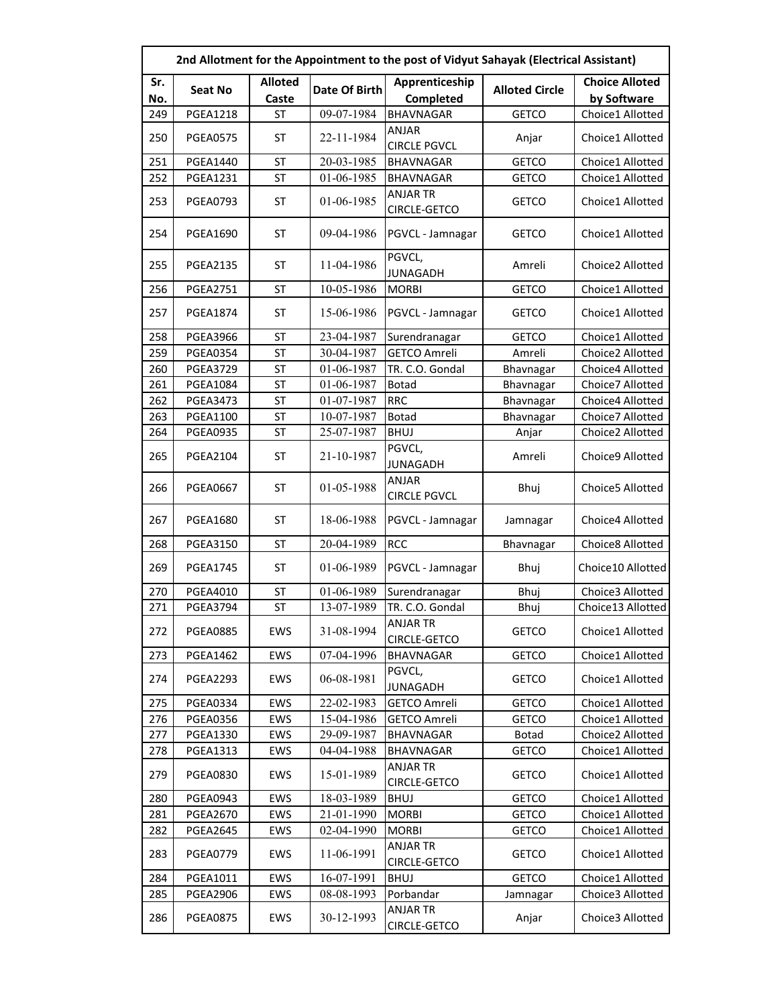|     | 2nd Allotment for the Appointment to the post of Vidyut Sahayak (Electrical Assistant) |                |               |                                     |                       |                       |  |  |
|-----|----------------------------------------------------------------------------------------|----------------|---------------|-------------------------------------|-----------------------|-----------------------|--|--|
| Sr. | Seat No                                                                                | <b>Alloted</b> | Date Of Birth | Apprenticeship                      | <b>Alloted Circle</b> | <b>Choice Alloted</b> |  |  |
| No. |                                                                                        | Caste          |               | Completed                           |                       | by Software           |  |  |
| 249 | <b>PGEA1218</b>                                                                        | <b>ST</b>      | 09-07-1984    | <b>BHAVNAGAR</b>                    | <b>GETCO</b>          | Choice1 Allotted      |  |  |
| 250 | <b>PGEA0575</b>                                                                        | ST             | 22-11-1984    | ANJAR<br><b>CIRCLE PGVCL</b>        | Anjar                 | Choice1 Allotted      |  |  |
| 251 | <b>PGEA1440</b>                                                                        | <b>ST</b>      | 20-03-1985    | BHAVNAGAR                           | <b>GETCO</b>          | Choice1 Allotted      |  |  |
| 252 | <b>PGEA1231</b>                                                                        | <b>ST</b>      | 01-06-1985    | <b>BHAVNAGAR</b>                    | <b>GETCO</b>          | Choice1 Allotted      |  |  |
| 253 | <b>PGEA0793</b>                                                                        | ST             | 01-06-1985    | <b>ANJAR TR</b><br>CIRCLE-GETCO     | <b>GETCO</b>          | Choice1 Allotted      |  |  |
| 254 | <b>PGEA1690</b>                                                                        | <b>ST</b>      | 09-04-1986    | PGVCL - Jamnagar                    | <b>GETCO</b>          | Choice1 Allotted      |  |  |
| 255 | <b>PGEA2135</b>                                                                        | <b>ST</b>      | 11-04-1986    | PGVCL,<br><b>JUNAGADH</b>           | Amreli                | Choice2 Allotted      |  |  |
| 256 | <b>PGEA2751</b>                                                                        | <b>ST</b>      | 10-05-1986    | <b>MORBI</b>                        | <b>GETCO</b>          | Choice1 Allotted      |  |  |
| 257 | <b>PGEA1874</b>                                                                        | ST             | 15-06-1986    | PGVCL - Jamnagar                    | <b>GETCO</b>          | Choice1 Allotted      |  |  |
| 258 | <b>PGEA3966</b>                                                                        | <b>ST</b>      | 23-04-1987    | Surendranagar                       | <b>GETCO</b>          | Choice1 Allotted      |  |  |
| 259 | <b>PGEA0354</b>                                                                        | <b>ST</b>      | 30-04-1987    | <b>GETCO Amreli</b>                 | Amreli                | Choice2 Allotted      |  |  |
| 260 | <b>PGEA3729</b>                                                                        | <b>ST</b>      | 01-06-1987    | TR. C.O. Gondal                     | Bhavnagar             | Choice4 Allotted      |  |  |
| 261 | <b>PGEA1084</b>                                                                        | <b>ST</b>      | 01-06-1987    | <b>Botad</b>                        | Bhavnagar             | Choice7 Allotted      |  |  |
| 262 | <b>PGEA3473</b>                                                                        | <b>ST</b>      | 01-07-1987    | <b>RRC</b>                          | Bhavnagar             | Choice4 Allotted      |  |  |
| 263 | <b>PGEA1100</b>                                                                        | ST             | 10-07-1987    | <b>Botad</b>                        | Bhavnagar             | Choice7 Allotted      |  |  |
| 264 | <b>PGEA0935</b>                                                                        | ST             | 25-07-1987    | <b>BHUJ</b>                         | Anjar                 | Choice2 Allotted      |  |  |
| 265 | <b>PGEA2104</b>                                                                        | <b>ST</b>      | 21-10-1987    | PGVCL,<br><b>JUNAGADH</b>           | Amreli                | Choice9 Allotted      |  |  |
| 266 | <b>PGEA0667</b>                                                                        | <b>ST</b>      | 01-05-1988    | <b>ANJAR</b><br><b>CIRCLE PGVCL</b> | Bhuj                  | Choice5 Allotted      |  |  |
| 267 | <b>PGEA1680</b>                                                                        | <b>ST</b>      | 18-06-1988    | PGVCL - Jamnagar                    | Jamnagar              | Choice4 Allotted      |  |  |
| 268 | <b>PGEA3150</b>                                                                        | <b>ST</b>      | 20-04-1989    | <b>RCC</b>                          | Bhavnagar             | Choice8 Allotted      |  |  |
| 269 | <b>PGEA1745</b>                                                                        | ST             | 01-06-1989    | PGVCL - Jamnagar                    | Bhuj                  | Choice10 Allotted     |  |  |
| 270 | <b>PGEA4010</b>                                                                        | ST             | 01-06-1989    | Surendranagar                       | Bhuj                  | Choice3 Allotted      |  |  |
| 271 | <b>PGEA3794</b>                                                                        | <b>ST</b>      | 13-07-1989    | TR. C.O. Gondal                     | Bhuj                  | Choice13 Allotted     |  |  |
| 272 | <b>PGEA0885</b>                                                                        | EWS            | 31-08-1994    | <b>ANJAR TR</b><br>CIRCLE-GETCO     | <b>GETCO</b>          | Choice1 Allotted      |  |  |
| 273 | <b>PGEA1462</b>                                                                        | EWS            | 07-04-1996    | <b>BHAVNAGAR</b>                    | <b>GETCO</b>          | Choice1 Allotted      |  |  |
| 274 | <b>PGEA2293</b>                                                                        | <b>EWS</b>     | 06-08-1981    | PGVCL,<br><b>JUNAGADH</b>           | <b>GETCO</b>          | Choice1 Allotted      |  |  |
| 275 | <b>PGEA0334</b>                                                                        | <b>EWS</b>     | 22-02-1983    | <b>GETCO Amreli</b>                 | <b>GETCO</b>          | Choice1 Allotted      |  |  |
| 276 | <b>PGEA0356</b>                                                                        | EWS            | 15-04-1986    | <b>GETCO Amreli</b>                 | <b>GETCO</b>          | Choice1 Allotted      |  |  |
| 277 | <b>PGEA1330</b>                                                                        | EWS            | 29-09-1987    | <b>BHAVNAGAR</b>                    | Botad                 | Choice2 Allotted      |  |  |
| 278 | <b>PGEA1313</b>                                                                        | EWS            | 04-04-1988    | BHAVNAGAR                           | <b>GETCO</b>          | Choice1 Allotted      |  |  |
| 279 | <b>PGEA0830</b>                                                                        | EWS            | 15-01-1989    | ANJAR TR<br>CIRCLE-GETCO            | <b>GETCO</b>          | Choice1 Allotted      |  |  |
| 280 | <b>PGEA0943</b>                                                                        | EWS            | 18-03-1989    | <b>BHUJ</b>                         | <b>GETCO</b>          | Choice1 Allotted      |  |  |
| 281 | <b>PGEA2670</b>                                                                        | EWS            | 21-01-1990    | <b>MORBI</b>                        | <b>GETCO</b>          | Choice1 Allotted      |  |  |
| 282 | <b>PGEA2645</b>                                                                        | EWS            | 02-04-1990    | <b>MORBI</b>                        | <b>GETCO</b>          | Choice1 Allotted      |  |  |
| 283 | <b>PGEA0779</b>                                                                        | <b>EWS</b>     | 11-06-1991    | <b>ANJAR TR</b><br>CIRCLE-GETCO     | <b>GETCO</b>          | Choice1 Allotted      |  |  |
| 284 | PGEA1011                                                                               | EWS            | 16-07-1991    | <b>BHUJ</b>                         | <b>GETCO</b>          | Choice1 Allotted      |  |  |
| 285 | <b>PGEA2906</b>                                                                        | EWS            | 08-08-1993    | Porbandar                           | Jamnagar              | Choice3 Allotted      |  |  |
| 286 | <b>PGEA0875</b>                                                                        | EWS            | 30-12-1993    | ANJAR TR<br>CIRCLE-GETCO            | Anjar                 | Choice3 Allotted      |  |  |